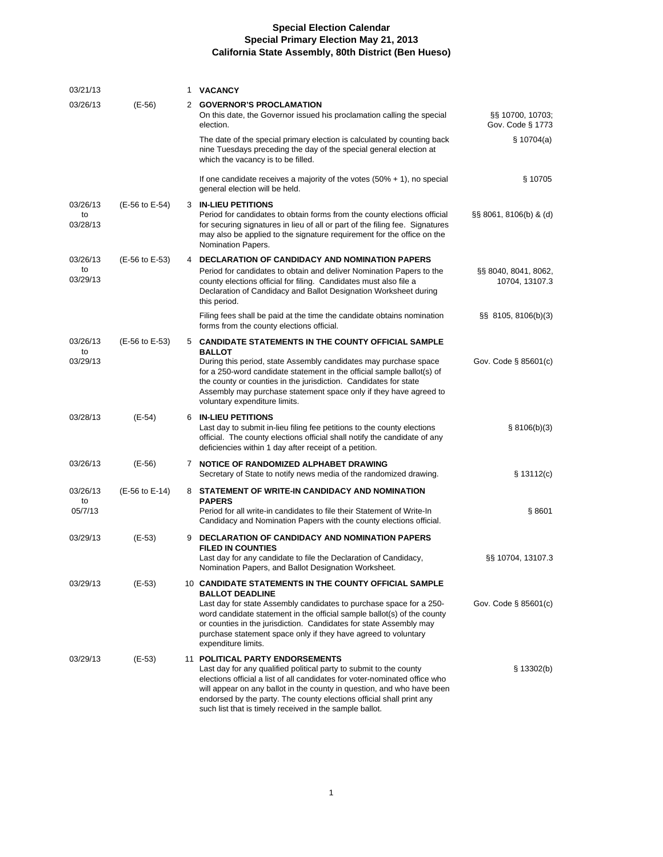| 03/21/13                   |                | 1 | <b>VACANCY</b>                                                                                                                                                                                                                                                                                                                                                                                   |                                        |
|----------------------------|----------------|---|--------------------------------------------------------------------------------------------------------------------------------------------------------------------------------------------------------------------------------------------------------------------------------------------------------------------------------------------------------------------------------------------------|----------------------------------------|
| 03/26/13                   | (E-56)         |   | 2 GOVERNOR'S PROCLAMATION<br>On this date, the Governor issued his proclamation calling the special<br>election.                                                                                                                                                                                                                                                                                 | §§ 10700, 10703;<br>Gov. Code § 1773   |
|                            |                |   | The date of the special primary election is calculated by counting back<br>nine Tuesdays preceding the day of the special general election at<br>which the vacancy is to be filled.                                                                                                                                                                                                              | \$10704(a)                             |
|                            |                |   | If one candidate receives a majority of the votes $(50\% + 1)$ , no special<br>general election will be held.                                                                                                                                                                                                                                                                                    | § 10705                                |
| 03/26/13<br>to<br>03/28/13 | (E-56 to E-54) |   | <b>3 IN-LIEU PETITIONS</b><br>Period for candidates to obtain forms from the county elections official<br>for securing signatures in lieu of all or part of the filing fee. Signatures<br>may also be applied to the signature requirement for the office on the<br>Nomination Papers.                                                                                                           | $\S$ SS 8061, 8106(b) & (d)            |
| 03/26/13<br>to<br>03/29/13 | (E-56 to E-53) |   | 4 DECLARATION OF CANDIDACY AND NOMINATION PAPERS<br>Period for candidates to obtain and deliver Nomination Papers to the<br>county elections official for filing. Candidates must also file a<br>Declaration of Candidacy and Ballot Designation Worksheet during<br>this period.                                                                                                                | §§ 8040, 8041, 8062,<br>10704, 13107.3 |
|                            |                |   | Filing fees shall be paid at the time the candidate obtains nomination<br>forms from the county elections official.                                                                                                                                                                                                                                                                              | $\S$ \$8 8105, 8106(b)(3)              |
| 03/26/13<br>to<br>03/29/13 | (E-56 to E-53) |   | 5 CANDIDATE STATEMENTS IN THE COUNTY OFFICIAL SAMPLE<br><b>BALLOT</b><br>During this period, state Assembly candidates may purchase space<br>for a 250-word candidate statement in the official sample ballot(s) of                                                                                                                                                                              | Gov. Code $\S$ 85601(c)                |
|                            |                |   | the county or counties in the jurisdiction. Candidates for state<br>Assembly may purchase statement space only if they have agreed to<br>voluntary expenditure limits.                                                                                                                                                                                                                           |                                        |
| 03/28/13                   | (E-54)         | 6 | <b>IN-LIEU PETITIONS</b><br>Last day to submit in-lieu filing fee petitions to the county elections<br>official. The county elections official shall notify the candidate of any<br>deficiencies within 1 day after receipt of a petition.                                                                                                                                                       | § 8106(b)(3)                           |
| 03/26/13                   | (E-56)         |   | 7 NOTICE OF RANDOMIZED ALPHABET DRAWING<br>Secretary of State to notify news media of the randomized drawing.                                                                                                                                                                                                                                                                                    | § 13112(c)                             |
| 03/26/13<br>to             | (E-56 to E-14) |   | 8 STATEMENT OF WRITE-IN CANDIDACY AND NOMINATION<br><b>PAPERS</b>                                                                                                                                                                                                                                                                                                                                |                                        |
| 05/7/13                    |                |   | Period for all write-in candidates to file their Statement of Write-In<br>Candidacy and Nomination Papers with the county elections official.                                                                                                                                                                                                                                                    | § 8601                                 |
| 03/29/13                   | (E-53)         | 9 | <b>DECLARATION OF CANDIDACY AND NOMINATION PAPERS</b><br><b>FILED IN COUNTIES</b><br>Last day for any candidate to file the Declaration of Candidacy,<br>Nomination Papers, and Ballot Designation Worksheet.                                                                                                                                                                                    | §§ 10704, 13107.3                      |
| 03/29/13                   | (E-53)         |   | 10 CANDIDATE STATEMENTS IN THE COUNTY OFFICIAL SAMPLE<br><b>BALLOT DEADLINE</b>                                                                                                                                                                                                                                                                                                                  |                                        |
|                            |                |   | Last day for state Assembly candidates to purchase space for a 250-<br>word candidate statement in the official sample ballot(s) of the county<br>or counties in the jurisdiction. Candidates for state Assembly may<br>purchase statement space only if they have agreed to voluntary<br>expenditure limits.                                                                                    | Gov. Code § 85601(c)                   |
| 03/29/13                   | (E-53)         |   | 11 POLITICAL PARTY ENDORSEMENTS<br>Last day for any qualified political party to submit to the county<br>elections official a list of all candidates for voter-nominated office who<br>will appear on any ballot in the county in question, and who have been<br>endorsed by the party. The county elections official shall print any<br>such list that is timely received in the sample ballot. | \$13302(b)                             |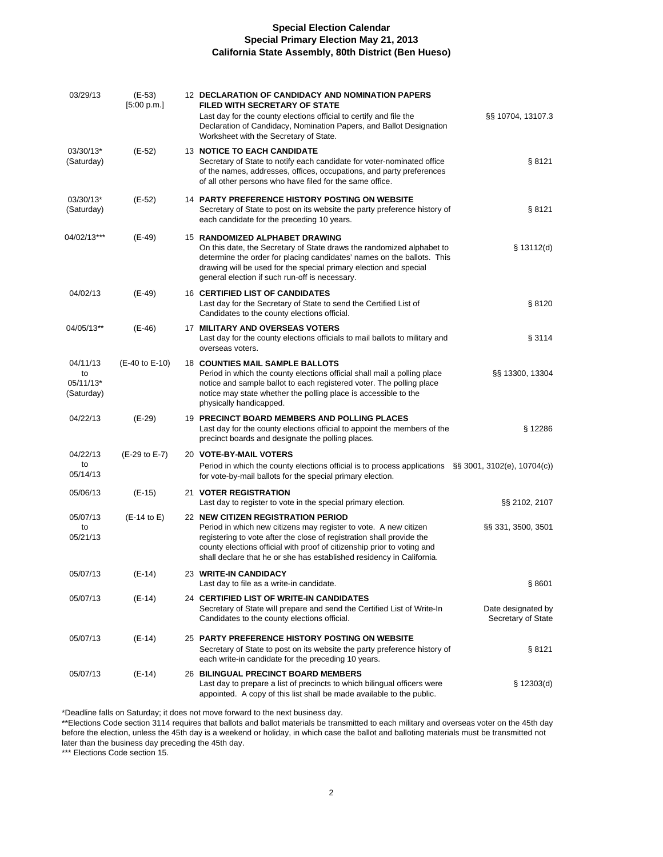| 03/29/13                                  | (E-53)<br>[5:00 p.m.] | 12 DECLARATION OF CANDIDACY AND NOMINATION PAPERS<br><b>FILED WITH SECRETARY OF STATE</b><br>Last day for the county elections official to certify and file the<br>Declaration of Candidacy, Nomination Papers, and Ballot Designation<br>Worksheet with the Secretary of State.                                                    | §§ 10704, 13107.3                        |
|-------------------------------------------|-----------------------|-------------------------------------------------------------------------------------------------------------------------------------------------------------------------------------------------------------------------------------------------------------------------------------------------------------------------------------|------------------------------------------|
| 03/30/13*<br>(Saturday)                   | (E-52)                | <b>13 NOTICE TO EACH CANDIDATE</b><br>Secretary of State to notify each candidate for voter-nominated office<br>of the names, addresses, offices, occupations, and party preferences<br>of all other persons who have filed for the same office.                                                                                    | § 8121                                   |
| 03/30/13*<br>(Saturday)                   | (E-52)                | 14 PARTY PREFERENCE HISTORY POSTING ON WEBSITE<br>Secretary of State to post on its website the party preference history of<br>each candidate for the preceding 10 years.                                                                                                                                                           | § 8121                                   |
| 04/02/13***                               | (E-49)                | 15 RANDOMIZED ALPHABET DRAWING<br>On this date, the Secretary of State draws the randomized alphabet to<br>determine the order for placing candidates' names on the ballots. This<br>drawing will be used for the special primary election and special<br>general election if such run-off is necessary.                            | \$13112(d)                               |
| 04/02/13                                  | $(E-49)$              | 16 CERTIFIED LIST OF CANDIDATES<br>Last day for the Secretary of State to send the Certified List of<br>Candidates to the county elections official.                                                                                                                                                                                | §8120                                    |
| 04/05/13**                                | $(E-46)$              | 17 MILITARY AND OVERSEAS VOTERS<br>Last day for the county elections officials to mail ballots to military and<br>overseas voters.                                                                                                                                                                                                  | § 3114                                   |
| 04/11/13<br>to<br>05/11/13*<br>(Saturday) | (E-40 to E-10)        | <b>18 COUNTIES MAIL SAMPLE BALLOTS</b><br>Period in which the county elections official shall mail a polling place<br>notice and sample ballot to each registered voter. The polling place<br>notice may state whether the polling place is accessible to the<br>physically handicapped.                                            | §§ 13300, 13304                          |
| 04/22/13                                  | (E-29)                | 19 PRECINCT BOARD MEMBERS AND POLLING PLACES<br>Last day for the county elections official to appoint the members of the<br>precinct boards and designate the polling places.                                                                                                                                                       | § 12286                                  |
| 04/22/13                                  | (E-29 to E-7)         | 20 VOTE-BY-MAIL VOTERS                                                                                                                                                                                                                                                                                                              |                                          |
| to<br>05/14/13                            |                       | Period in which the county elections official is to process applications $\S$ § 3001, 3102(e), 10704(c))<br>for vote-by-mail ballots for the special primary election.                                                                                                                                                              |                                          |
| 05/06/13                                  | $(E-15)$              | 21 VOTER REGISTRATION<br>Last day to register to vote in the special primary election.                                                                                                                                                                                                                                              | §§ 2102, 2107                            |
| 05/07/13<br>to<br>05/21/13                | $(E-14$ to E)         | 22 NEW CITIZEN REGISTRATION PERIOD<br>Period in which new citizens may register to vote. A new citizen<br>registering to vote after the close of registration shall provide the<br>county elections official with proof of citizenship prior to voting and<br>shall declare that he or she has established residency in California. | §§ 331, 3500, 3501                       |
| 05/07/13                                  | $(E-14)$              | 23 WRITE-IN CANDIDACY<br>Last day to file as a write-in candidate.                                                                                                                                                                                                                                                                  | §8601                                    |
| 05/07/13                                  | $(E-14)$              | 24 CERTIFIED LIST OF WRITE-IN CANDIDATES<br>Secretary of State will prepare and send the Certified List of Write-In<br>Candidates to the county elections official.                                                                                                                                                                 | Date designated by<br>Secretary of State |
| 05/07/13                                  | (E-14)                | 25 PARTY PREFERENCE HISTORY POSTING ON WEBSITE<br>Secretary of State to post on its website the party preference history of<br>each write-in candidate for the preceding 10 years.                                                                                                                                                  | § 8121                                   |
| 05/07/13                                  | (E-14)                | 26 BILINGUAL PRECINCT BOARD MEMBERS<br>Last day to prepare a list of precincts to which bilingual officers were<br>appointed. A copy of this list shall be made available to the public.                                                                                                                                            | \$12303(d)                               |

\*Deadline falls on Saturday; it does not move forward to the next business day.

\*\*Elections Code section 3114 requires that ballots and ballot materials be transmitted to each military and overseas voter on the 45th day before the election, unless the 45th day is a weekend or holiday, in which case the ballot and balloting materials must be transmitted not later than the business day preceding the 45th day.

\*\*\* Elections Code section 15.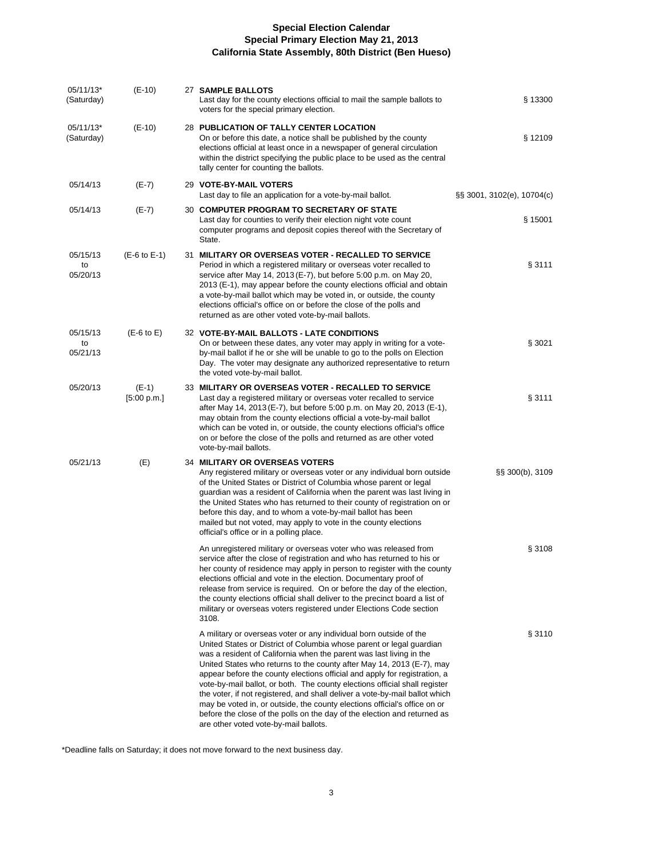| 05/11/13*<br>(Saturday)    | $(E-10)$               | 27 SAMPLE BALLOTS<br>Last day for the county elections official to mail the sample ballots to<br>voters for the special primary election.                                                                                                                                                                                                                                                                                                                                                                                                                                                                                                                                                                                              | § 13300                    |
|----------------------------|------------------------|----------------------------------------------------------------------------------------------------------------------------------------------------------------------------------------------------------------------------------------------------------------------------------------------------------------------------------------------------------------------------------------------------------------------------------------------------------------------------------------------------------------------------------------------------------------------------------------------------------------------------------------------------------------------------------------------------------------------------------------|----------------------------|
| 05/11/13*<br>(Saturday)    | $(E-10)$               | 28 PUBLICATION OF TALLY CENTER LOCATION<br>On or before this date, a notice shall be published by the county<br>elections official at least once in a newspaper of general circulation<br>within the district specifying the public place to be used as the central<br>tally center for counting the ballots.                                                                                                                                                                                                                                                                                                                                                                                                                          | § 12109                    |
| 05/14/13                   | $(E-7)$                | 29 VOTE-BY-MAIL VOTERS<br>Last day to file an application for a vote-by-mail ballot.                                                                                                                                                                                                                                                                                                                                                                                                                                                                                                                                                                                                                                                   | §§ 3001, 3102(e), 10704(c) |
| 05/14/13                   | $(E-7)$                | <b>30 COMPUTER PROGRAM TO SECRETARY OF STATE</b><br>Last day for counties to verify their election night vote count<br>computer programs and deposit copies thereof with the Secretary of<br>State.                                                                                                                                                                                                                                                                                                                                                                                                                                                                                                                                    | § 15001                    |
| 05/15/13<br>to<br>05/20/13 | $(E-6 to E-1)$         | 31 MILITARY OR OVERSEAS VOTER - RECALLED TO SERVICE<br>Period in which a registered military or overseas voter recalled to<br>service after May 14, 2013 (E-7), but before 5:00 p.m. on May 20,<br>2013 (E-1), may appear before the county elections official and obtain<br>a vote-by-mail ballot which may be voted in, or outside, the county<br>elections official's office on or before the close of the polls and<br>returned as are other voted vote-by-mail ballots.                                                                                                                                                                                                                                                           | §3111                      |
| 05/15/13<br>to<br>05/21/13 | $(E-6$ to $E)$         | 32 VOTE-BY-MAIL BALLOTS - LATE CONDITIONS<br>On or between these dates, any voter may apply in writing for a vote-<br>by-mail ballot if he or she will be unable to go to the polls on Election<br>Day. The voter may designate any authorized representative to return<br>the voted vote-by-mail ballot.                                                                                                                                                                                                                                                                                                                                                                                                                              | § 3021                     |
| 05/20/13                   | $(E-1)$<br>[5:00 p.m.] | 33 MILITARY OR OVERSEAS VOTER - RECALLED TO SERVICE<br>Last day a registered military or overseas voter recalled to service<br>after May 14, 2013 (E-7), but before 5:00 p.m. on May 20, 2013 (E-1),<br>may obtain from the county elections official a vote-by-mail ballot<br>which can be voted in, or outside, the county elections official's office<br>on or before the close of the polls and returned as are other voted<br>vote-by-mail ballots.                                                                                                                                                                                                                                                                               | § 3111                     |
| 05/21/13                   | (E)                    | 34 MILITARY OR OVERSEAS VOTERS<br>Any registered military or overseas voter or any individual born outside<br>of the United States or District of Columbia whose parent or legal<br>guardian was a resident of California when the parent was last living in<br>the United States who has returned to their county of registration on or<br>before this day, and to whom a vote-by-mail ballot has been<br>mailed but not voted, may apply to vote in the county elections<br>official's office or in a polling place.                                                                                                                                                                                                                 | §§ 300(b), 3109            |
|                            |                        | An unregistered military or overseas voter who was released from<br>service after the close of registration and who has returned to his or<br>her county of residence may apply in person to register with the county<br>elections official and vote in the election. Documentary proof of<br>release from service is required. On or before the day of the election,<br>the county elections official shall deliver to the precinct board a list of<br>military or overseas voters registered under Elections Code section<br>3108.                                                                                                                                                                                                   | § 3108                     |
|                            |                        | A military or overseas voter or any individual born outside of the<br>United States or District of Columbia whose parent or legal guardian<br>was a resident of California when the parent was last living in the<br>United States who returns to the county after May 14, 2013 (E-7), may<br>appear before the county elections official and apply for registration, a<br>vote-by-mail ballot, or both. The county elections official shall register<br>the voter, if not registered, and shall deliver a vote-by-mail ballot which<br>may be voted in, or outside, the county elections official's office on or<br>before the close of the polls on the day of the election and returned as<br>are other voted vote-by-mail ballots. | § 3110                     |

\*Deadline falls on Saturday; it does not move forward to the next business day.